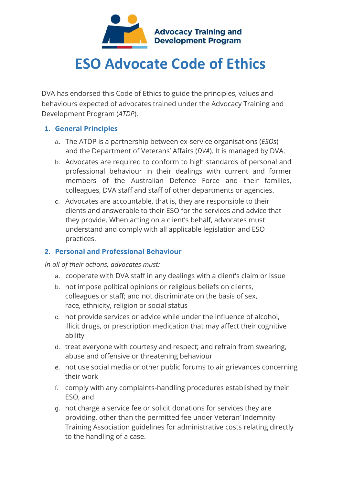

## **ESO Advocate Code of Ethics**

DVA has endorsed this Code of Ethics to guide the principles, values and behaviours expected of advocates trained under the Advocacy Training and Development Program (*ATDP*).

## **1. General Principles**

- a. The ATDP is a partnership between ex-service organisations (*ESOs*) and the Department of Veterans' Affairs (*DVA*). It is managed by DVA.
- b. Advocates are required to conform to high standards of personal and professional behaviour in their dealings with current and former members of the Australian Defence Force and their families, colleagues, DVA staff and staff of other departments or agencies.
- c. Advocates are accountable, that is, they are responsible to their clients and answerable to their ESO for the services and advice that they provide. When acting on a client's behalf, advocates must understand and comply with all applicable legislation and ESO practices.

## **2. Personal and Professional Behaviour**

*In all of their actions, advocates must:*

- a. cooperate with DVA staff in any dealings with a client's claim or issue
- b. not impose political opinions or religious beliefs on clients, colleagues or staff; and not discriminate on the basis of sex, race, ethnicity, religion or social status
- c. not provide services or advice while under the influence of alcohol, illicit drugs, or prescription medication that may affect their cognitive ability
- d. treat everyone with courtesy and respect; and refrain from swearing, abuse and offensive or threatening behaviour
- e. not use social media or other public forums to air grievances concerning their work
- f. comply with any complaints-handling procedures established by their ESO, and
- g. not charge a service fee or solicit donations for services they are providing, other than the permitted fee under Veteran' Indemnity Training Association guidelines for administrative costs relating directly to the handling of a case.